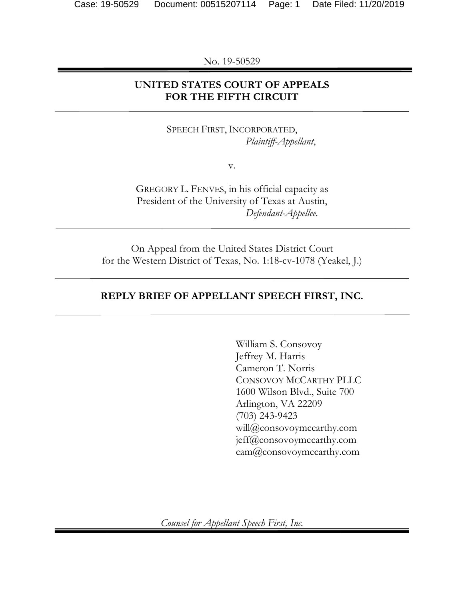No. 19-50529

# **UNITED STATES COURT OF APPEALS FOR THE FIFTH CIRCUIT**

SPEECH FIRST, INCORPORATED, *Plaintiff-Appellant*,

v.

GREGORY L. FENVES, in his official capacity as President of the University of Texas at Austin, *Defendant-Appellee*.

On Appeal from the United States District Court for the Western District of Texas, No. 1:18-cv-1078 (Yeakel, J.)

### **REPLY BRIEF OF APPELLANT SPEECH FIRST, INC.**

William S. Consovoy Jeffrey M. Harris Cameron T. Norris CONSOVOY MCCARTHY PLLC 1600 Wilson Blvd., Suite 700 Arlington, VA 22209 (703) 243-9423 will@consovoymccarthy.com jeff@consovoymccarthy.com cam@consovoymccarthy.com

*Counsel for Appellant Speech First, Inc.*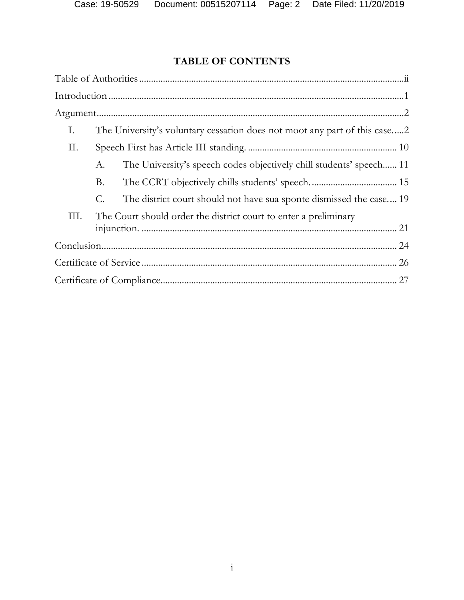# **TABLE OF CONTENTS**

| Ι.   |    | The University's voluntary cessation does not moot any part of this case2 |  |
|------|----|---------------------------------------------------------------------------|--|
| П.   |    |                                                                           |  |
|      | А. | The University's speech codes objectively chill students' speech 11       |  |
|      | В. |                                                                           |  |
|      | C. | The district court should not have sua sponte dismissed the case19        |  |
| III. |    | The Court should order the district court to enter a preliminary          |  |
|      |    |                                                                           |  |
|      |    |                                                                           |  |
|      |    |                                                                           |  |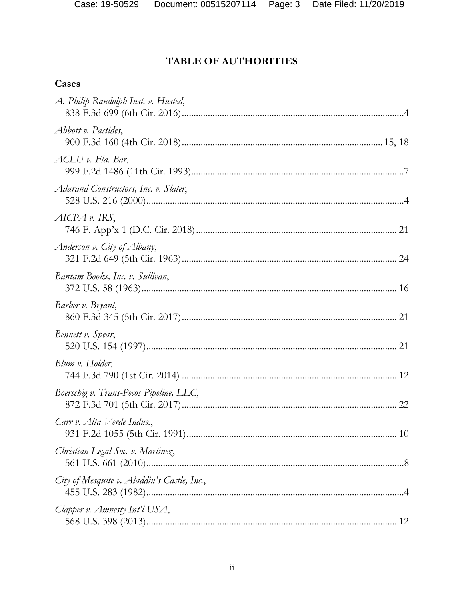# TABLE OF AUTHORITIES

## Cases

| A. Philip Randolph Inst. v. Husted,         |
|---------------------------------------------|
| Abbott v. Pastides,                         |
| ACLU v. Fla. Bar,                           |
| Adarand Constructors, Inc. v. Slater,       |
| $AICPA$ v. IRS,                             |
| Anderson v. City of Albany,                 |
| Bantam Books, Inc. v. Sullivan,             |
| Barber v. Bryant,                           |
| Bennett v. Spear,                           |
| Blum v. Holder,                             |
| Boerschig v. Trans-Pecos Pipeline, LLC,     |
| Carr v. Alta Verde Indus.,                  |
| Christian Legal Soc. v. Martinez,           |
| City of Mesquite v. Aladdin's Castle, Inc., |
| Clapper v. Amnesty Int'l USA,               |
|                                             |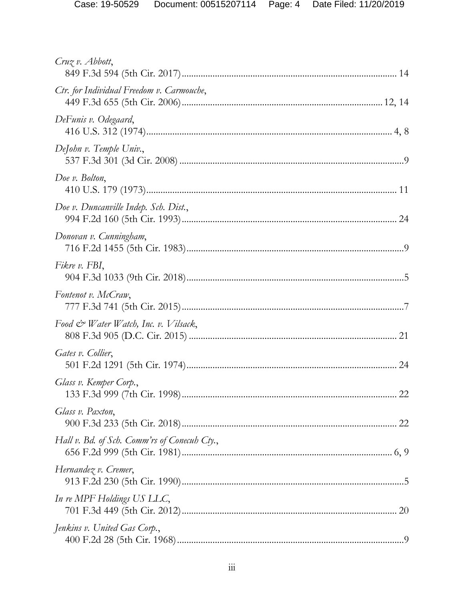| $Cruz v.$ Abbott,                                |
|--------------------------------------------------|
| Ctr. for Individual Freedom v. Carmouche,        |
| DeFunis v. Odegaard,                             |
| DeJohn v. Temple Univ.,                          |
| Doe v. Bolton,                                   |
| Doe v. Duncanville Indep. Sch. Dist.,            |
| Donovan v. Cunningham,                           |
| Fikre v. FBI,                                    |
| Fontenot v. McCraw,                              |
| Food $\mathcal{Q}$ Water Watch, Inc. v. Vilsack, |
| Gates v. Collier,                                |
| Glass v. Kemper Corp.,                           |
| Glass v. Paxton,                                 |
| Hall v. Bd. of Sch. Comm'rs of Conecub Cty.,     |
| Hernandez v. Cremer,                             |
| In re MPF Holdings US LLC,                       |
| Jenkins v. United Gas Corp.,                     |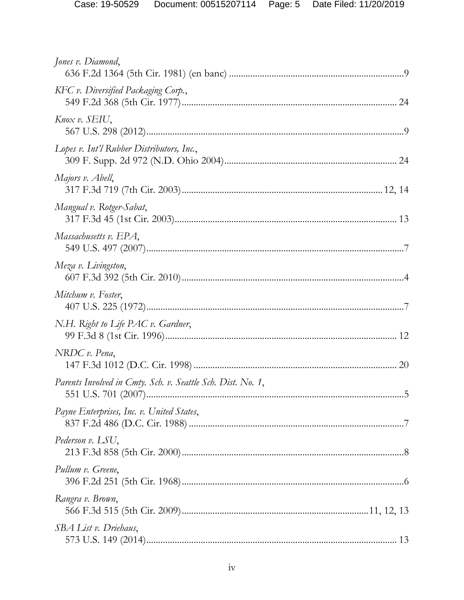| Jones v. Diamond,                                           |    |
|-------------------------------------------------------------|----|
| KFC v. Diversified Packaging Corp.,                         |    |
| Knox v. SEIU,                                               |    |
| Lopes v. Int'l Rubber Distributors, Inc.,                   |    |
| Majors v. Abell,                                            |    |
| Mangual v. Rotger-Sabat,                                    |    |
| Massachusetts v. EPA,                                       |    |
| Meza v. Livingston,                                         |    |
| Mitchum v. Foster,                                          |    |
| N.H. Right to Life PAC v. Gardner,                          |    |
| NRDC v. Pena,                                               |    |
| Parents Involved in Cmty. Sch. v. Seattle Sch. Dist. No. 1, | .5 |
| Payne Enterprises, Inc. v. United States,                   |    |
| Pederson v. LSU,                                            |    |
| Pullum v. Greene,                                           |    |
| Rangra v. Brown,                                            |    |
| SBA List v. Driehaus,                                       |    |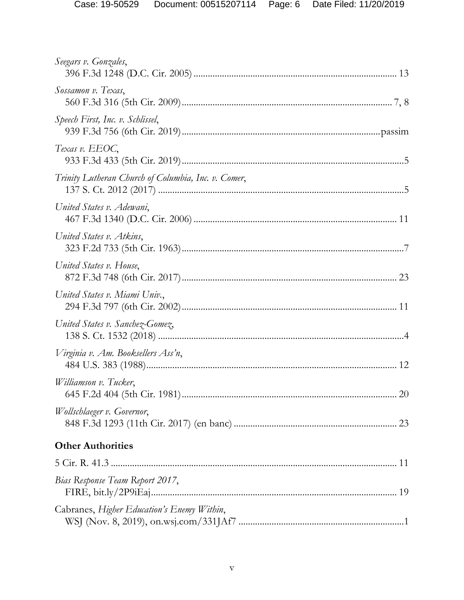| Seegars v. Gonzales,                                |
|-----------------------------------------------------|
| Sossamon v. Texas,                                  |
| Speech First, Inc. v. Schlissel,                    |
| Texas v. EEOC,                                      |
| Trinity Lutheran Church of Columbia, Inc. v. Comer, |
| United States v. Adewani,                           |
| United States v. Atkins,                            |
| United States v. House,                             |
| United States v. Miami Univ.,                       |
| United States v. Sanchez-Gomez,                     |
| Virginia v. Am. Booksellers Ass'n,                  |
| Williamson v. Tucker,                               |
| Wollschlaeger v. Governor,                          |
| <b>Other Authorities</b>                            |
|                                                     |
| Bias Response Team Report 2017,                     |
| Cabranes, Higher Education's Enemy Within,          |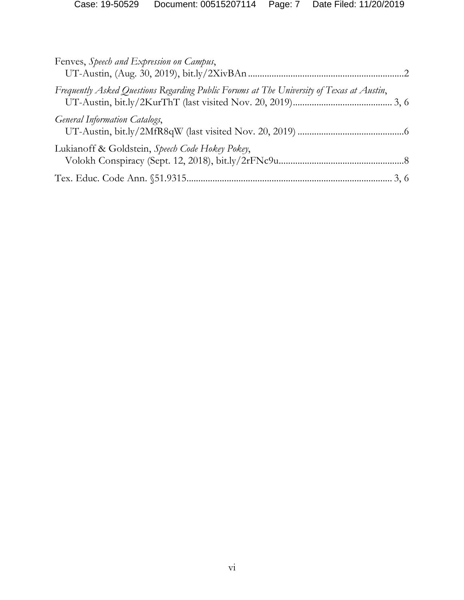| Fenves, Speech and Expression on Campus,                                                 |  |
|------------------------------------------------------------------------------------------|--|
| Frequently Asked Questions Regarding Public Forums at The University of Texas at Austin, |  |
| <b>General Information Catalogs,</b>                                                     |  |
| Lukianoff & Goldstein, Speech Code Hokey Pokey,                                          |  |
|                                                                                          |  |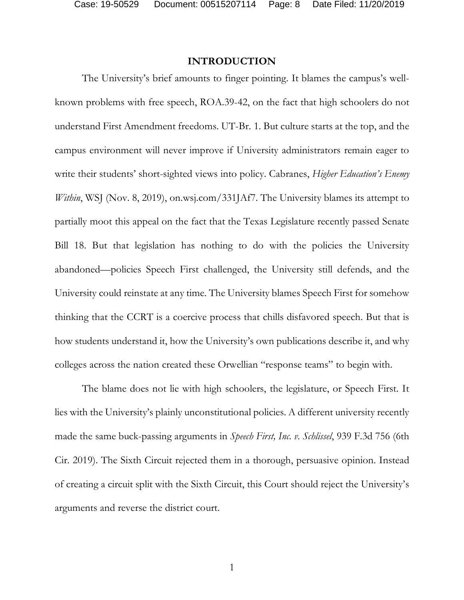Case: 19-50529 Document: 00515207114 Page: 8 Date Filed: 11/20/2019

#### **INTRODUCTION**

The University's brief amounts to finger pointing. It blames the campus's wellknown problems with free speech, ROA.39-42, on the fact that high schoolers do not understand First Amendment freedoms. UT-Br. 1. But culture starts at the top, and the campus environment will never improve if University administrators remain eager to write their students' short-sighted views into policy. Cabranes, *Higher Education's Enemy Within*, WSJ (Nov. 8, 2019), on.wsj.com/331JAf7. The University blames its attempt to partially moot this appeal on the fact that the Texas Legislature recently passed Senate Bill 18. But that legislation has nothing to do with the policies the University abandoned—policies Speech First challenged, the University still defends, and the University could reinstate at any time. The University blames Speech First for somehow thinking that the CCRT is a coercive process that chills disfavored speech. But that is how students understand it, how the University's own publications describe it, and why colleges across the nation created these Orwellian "response teams" to begin with.

The blame does not lie with high schoolers, the legislature, or Speech First. It lies with the University's plainly unconstitutional policies. A different university recently made the same buck-passing arguments in *Speech First, Inc. v. Schlissel*, 939 F.3d 756 (6th Cir. 2019). The Sixth Circuit rejected them in a thorough, persuasive opinion. Instead of creating a circuit split with the Sixth Circuit, this Court should reject the University's arguments and reverse the district court.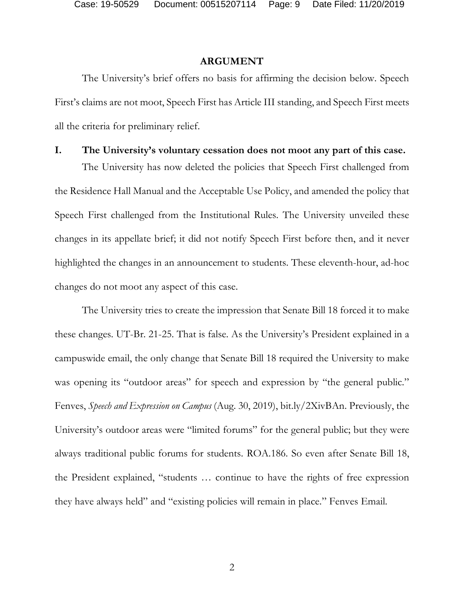#### **ARGUMENT**

The University's brief offers no basis for affirming the decision below. Speech First's claims are not moot, Speech First has Article III standing, and Speech First meets all the criteria for preliminary relief.

### **I. The University's voluntary cessation does not moot any part of this case.**

The University has now deleted the policies that Speech First challenged from the Residence Hall Manual and the Acceptable Use Policy, and amended the policy that Speech First challenged from the Institutional Rules. The University unveiled these changes in its appellate brief; it did not notify Speech First before then, and it never highlighted the changes in an announcement to students. These eleventh-hour, ad-hoc changes do not moot any aspect of this case.

The University tries to create the impression that Senate Bill 18 forced it to make these changes. UT-Br. 21-25. That is false. As the University's President explained in a campuswide email, the only change that Senate Bill 18 required the University to make was opening its "outdoor areas" for speech and expression by "the general public." Fenves, *Speech and Expression on Campus* (Aug. 30, 2019), bit.ly/2XivBAn. Previously, the University's outdoor areas were "limited forums" for the general public; but they were always traditional public forums for students. ROA.186. So even after Senate Bill 18, the President explained, "students … continue to have the rights of free expression they have always held" and "existing policies will remain in place." Fenves Email.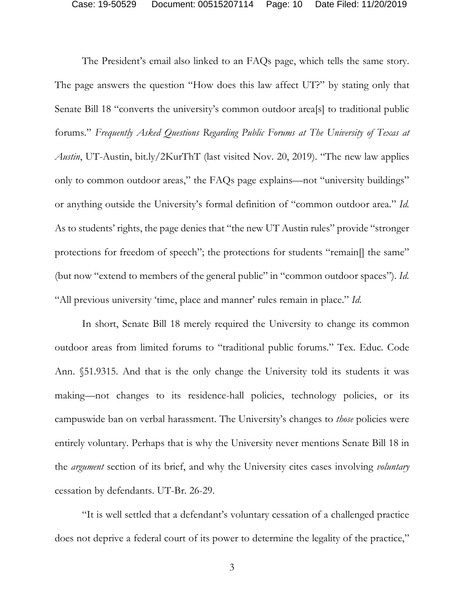The President's email also linked to an FAQs page, which tells the same story. The page answers the question "How does this law affect UT?" by stating only that Senate Bill 18 "converts the university's common outdoor area[s] to traditional public forums." *Frequently Asked Questions Regarding Public Forums at The University of Texas at Austin*, UT-Austin, bit.ly/2KurThT (last visited Nov. 20, 2019). "The new law applies only to common outdoor areas," the FAQs page explains—not "university buildings" or anything outside the University's formal definition of "common outdoor area." *Id.* As to students' rights, the page denies that "the new UT Austin rules" provide "stronger protections for freedom of speech"; the protections for students "remain[] the same" (but now "extend to members of the general public" in "common outdoor spaces"). *Id.* "All previous university 'time, place and manner' rules remain in place." *Id.*

In short, Senate Bill 18 merely required the University to change its common outdoor areas from limited forums to "traditional public forums." Tex. Educ. Code Ann. §51.9315. And that is the only change the University told its students it was making—not changes to its residence-hall policies, technology policies, or its campuswide ban on verbal harassment. The University's changes to *those* policies were entirely voluntary. Perhaps that is why the University never mentions Senate Bill 18 in the *argument* section of its brief, and why the University cites cases involving *voluntary* cessation by defendants. UT-Br. 26-29.

"It is well settled that a defendant's voluntary cessation of a challenged practice does not deprive a federal court of its power to determine the legality of the practice,"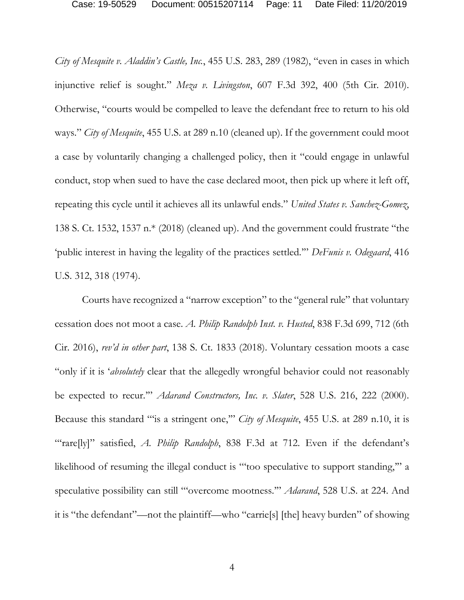Case: 19-50529 Document: 00515207114 Page: 11 Date Filed: 11/20/2019

*City of Mesquite v. Aladdin's Castle, Inc.*, 455 U.S. 283, 289 (1982), "even in cases in which injunctive relief is sought." *Meza v. Livingston*, 607 F.3d 392, 400 (5th Cir. 2010). Otherwise, "courts would be compelled to leave the defendant free to return to his old ways." *City of Mesquite*, 455 U.S. at 289 n.10 (cleaned up). If the government could moot a case by voluntarily changing a challenged policy, then it "could engage in unlawful conduct, stop when sued to have the case declared moot, then pick up where it left off, repeating this cycle until it achieves all its unlawful ends." *United States v. Sanchez-Gomez*, 138 S. Ct. 1532, 1537 n.\* (2018) (cleaned up). And the government could frustrate "the 'public interest in having the legality of the practices settled.'" *DeFunis v. Odegaard*, 416 U.S. 312, 318 (1974).

Courts have recognized a "narrow exception" to the "general rule" that voluntary cessation does not moot a case. *A. Philip Randolph Inst. v. Husted*, 838 F.3d 699, 712 (6th Cir. 2016), *rev'd in other part*, 138 S. Ct. 1833 (2018). Voluntary cessation moots a case "only if it is '*absolutely* clear that the allegedly wrongful behavior could not reasonably be expected to recur.'" *Adarand Constructors, Inc. v. Slater*, 528 U.S. 216, 222 (2000). Because this standard "'is a stringent one,'" *City of Mesquite*, 455 U.S. at 289 n.10, it is "rare[ly]" satisfied, *A. Philip Randolph*, 838 F.3d at 712. Even if the defendant's likelihood of resuming the illegal conduct is "too speculative to support standing," a speculative possibility can still "'overcome mootness.'" *Adarand*, 528 U.S. at 224. And it is "the defendant"—not the plaintiff—who "carrie[s] [the] heavy burden" of showing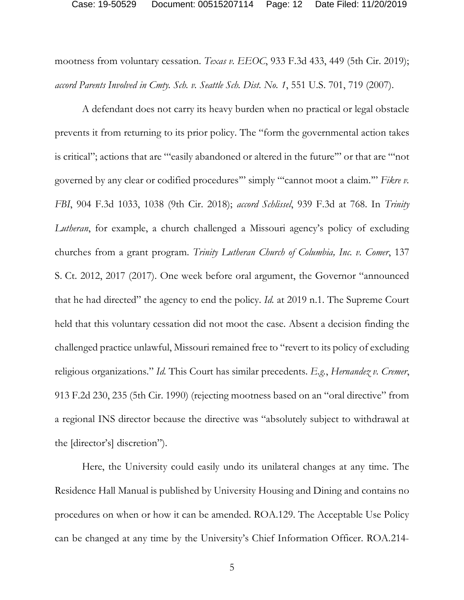mootness from voluntary cessation. *Texas v. EEOC*, 933 F.3d 433, 449 (5th Cir. 2019); *accord Parents Involved in Cmty. Sch. v. Seattle Sch. Dist. No. 1*, 551 U.S. 701, 719 (2007).

A defendant does not carry its heavy burden when no practical or legal obstacle prevents it from returning to its prior policy. The "form the governmental action takes is critical"; actions that are "'easily abandoned or altered in the future'" or that are "'not governed by any clear or codified procedures'" simply "'cannot moot a claim.'" *Fikre v. FBI*, 904 F.3d 1033, 1038 (9th Cir. 2018); *accord Schlissel*, 939 F.3d at 768. In *Trinity Lutheran*, for example, a church challenged a Missouri agency's policy of excluding churches from a grant program. *Trinity Lutheran Church of Columbia, Inc. v. Comer*, 137 S. Ct. 2012, 2017 (2017). One week before oral argument, the Governor "announced that he had directed" the agency to end the policy. *Id.* at 2019 n.1. The Supreme Court held that this voluntary cessation did not moot the case. Absent a decision finding the challenged practice unlawful, Missouri remained free to "revert to its policy of excluding religious organizations." *Id.* This Court has similar precedents. *E.g.*, *Hernandez v. Cremer*, 913 F.2d 230, 235 (5th Cir. 1990) (rejecting mootness based on an "oral directive" from a regional INS director because the directive was "absolutely subject to withdrawal at the [director's] discretion").

Here, the University could easily undo its unilateral changes at any time. The Residence Hall Manual is published by University Housing and Dining and contains no procedures on when or how it can be amended. ROA.129. The Acceptable Use Policy can be changed at any time by the University's Chief Information Officer. ROA.214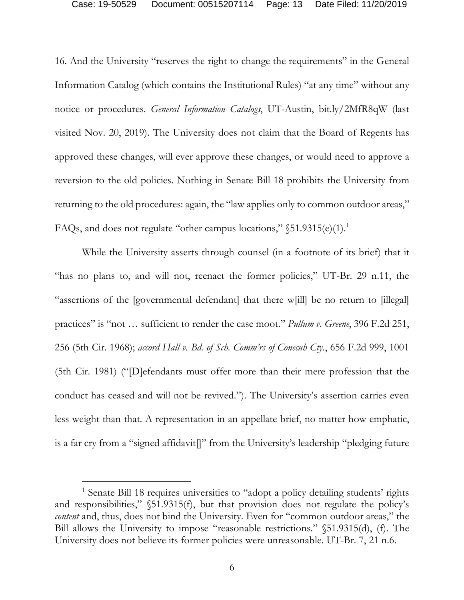16. And the University "reserves the right to change the requirements" in the General Information Catalog (which contains the Institutional Rules) "at any time" without any notice or procedures. *General Information Catalogs*, UT-Austin, bit.ly/2MfR8qW (last visited Nov. 20, 2019). The University does not claim that the Board of Regents has approved these changes, will ever approve these changes, or would need to approve a reversion to the old policies. Nothing in Senate Bill 18 prohibits the University from returning to the old procedures: again, the "law applies only to common outdoor areas," FAQs, and does not regulate "other campus locations," §51.9315(e)(1).<sup>1</sup>

While the University asserts through counsel (in a footnote of its brief) that it "has no plans to, and will not, reenact the former policies," UT-Br. 29 n.11, the "assertions of the [governmental defendant] that there w[ill] be no return to [illegal] practices" is "not … sufficient to render the case moot." *Pullum v. Greene*, 396 F.2d 251, 256 (5th Cir. 1968); *accord Hall v. Bd. of Sch. Comm'rs of Conecuh Cty.*, 656 F.2d 999, 1001 (5th Cir. 1981) ("[D]efendants must offer more than their mere profession that the conduct has ceased and will not be revived."). The University's assertion carries even less weight than that. A representation in an appellate brief, no matter how emphatic, is a far cry from a "signed affidavit[]" from the University's leadership "pledging future

<sup>1</sup> Senate Bill 18 requires universities to "adopt a policy detailing students' rights and responsibilities," §51.9315(f), but that provision does not regulate the policy's *content* and, thus, does not bind the University. Even for "common outdoor areas," the Bill allows the University to impose "reasonable restrictions." §51.9315(d), (f). The University does not believe its former policies were unreasonable. UT-Br. 7, 21 n.6.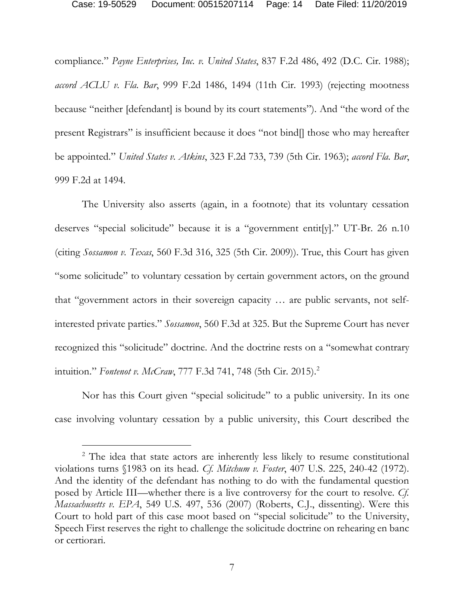compliance." *Payne Enterprises, Inc. v. United States*, 837 F.2d 486, 492 (D.C. Cir. 1988); *accord ACLU v. Fla. Bar*, 999 F.2d 1486, 1494 (11th Cir. 1993) (rejecting mootness because "neither [defendant] is bound by its court statements"). And "the word of the present Registrars" is insufficient because it does "not bind[] those who may hereafter be appointed." *United States v. Atkins*, 323 F.2d 733, 739 (5th Cir. 1963); *accord Fla. Bar*, 999 F.2d at 1494.

The University also asserts (again, in a footnote) that its voluntary cessation deserves "special solicitude" because it is a "government entit[y]." UT-Br. 26 n.10 (citing *Sossamon v. Texas*, 560 F.3d 316, 325 (5th Cir. 2009)). True, this Court has given "some solicitude" to voluntary cessation by certain government actors, on the ground that "government actors in their sovereign capacity … are public servants, not selfinterested private parties." *Sossamon*, 560 F.3d at 325. But the Supreme Court has never recognized this "solicitude" doctrine. And the doctrine rests on a "somewhat contrary intuition." *Fontenot v. McCraw*, 777 F.3d 741, 748 (5th Cir. 2015). 2

Nor has this Court given "special solicitude" to a public university. In its one case involving voluntary cessation by a public university, this Court described the

<sup>&</sup>lt;sup>2</sup> The idea that state actors are inherently less likely to resume constitutional violations turns §1983 on its head. *Cf. Mitchum v. Foster*, 407 U.S. 225, 240-42 (1972). And the identity of the defendant has nothing to do with the fundamental question posed by Article III—whether there is a live controversy for the court to resolve. *Cf. Massachusetts v. EPA*, 549 U.S. 497, 536 (2007) (Roberts, C.J., dissenting). Were this Court to hold part of this case moot based on "special solicitude" to the University, Speech First reserves the right to challenge the solicitude doctrine on rehearing en banc or certiorari.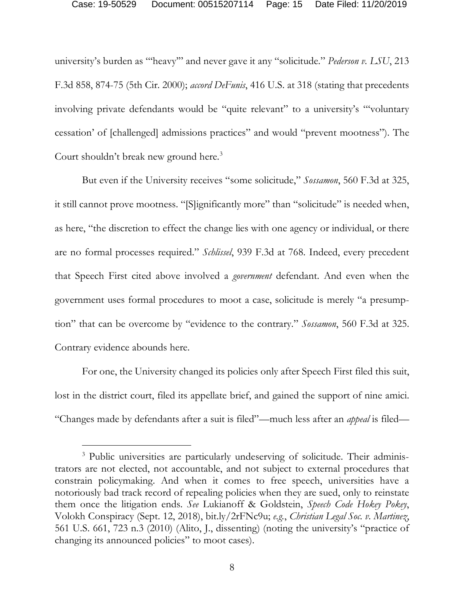university's burden as "'heavy'" and never gave it any "solicitude." *Pederson v. LSU*, 213 F.3d 858, 874-75 (5th Cir. 2000); *accord DeFunis*, 416 U.S. at 318 (stating that precedents involving private defendants would be "quite relevant" to a university's "'voluntary cessation' of [challenged] admissions practices" and would "prevent mootness"). The Court shouldn't break new ground here.<sup>3</sup>

But even if the University receives "some solicitude," *Sossamon*, 560 F.3d at 325, it still cannot prove mootness. "[S]ignificantly more" than "solicitude" is needed when, as here, "the discretion to effect the change lies with one agency or individual, or there are no formal processes required." *Schlissel*, 939 F.3d at 768. Indeed, every precedent that Speech First cited above involved a *government* defendant. And even when the government uses formal procedures to moot a case, solicitude is merely "a presumption" that can be overcome by "evidence to the contrary." *Sossamon*, 560 F.3d at 325. Contrary evidence abounds here.

For one, the University changed its policies only after Speech First filed this suit, lost in the district court, filed its appellate brief, and gained the support of nine amici. "Changes made by defendants after a suit is filed"—much less after an *appeal* is filed—

<sup>&</sup>lt;sup>3</sup> Public universities are particularly undeserving of solicitude. Their administrators are not elected, not accountable, and not subject to external procedures that constrain policymaking. And when it comes to free speech, universities have a notoriously bad track record of repealing policies when they are sued, only to reinstate them once the litigation ends. *See* Lukianoff & Goldstein, *Speech Code Hokey Pokey*, Volokh Conspiracy (Sept. 12, 2018), bit.ly/2rFNc9u; *e.g.*, *Christian Legal Soc. v. Martinez*, 561 U.S. 661, 723 n.3 (2010) (Alito, J., dissenting) (noting the university's "practice of changing its announced policies" to moot cases).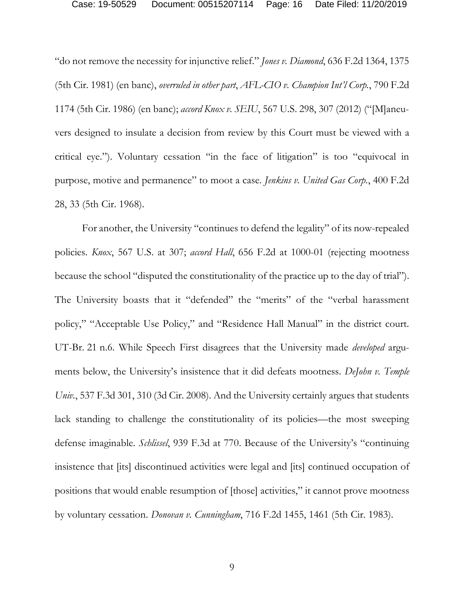"do not remove the necessity for injunctive relief." *Jones v. Diamond*, 636 F.2d 1364, 1375 (5th Cir. 1981) (en banc), *overruled in other part*, *AFL-CIO v. Champion Int'l Corp.*, 790 F.2d 1174 (5th Cir. 1986) (en banc); *accord Knox v. SEIU*, 567 U.S. 298, 307 (2012) ("[M]aneuvers designed to insulate a decision from review by this Court must be viewed with a critical eye."). Voluntary cessation "in the face of litigation" is too "equivocal in purpose, motive and permanence" to moot a case. *Jenkins v. United Gas Corp.*, 400 F.2d 28, 33 (5th Cir. 1968).

For another, the University "continues to defend the legality" of its now-repealed policies. *Knox*, 567 U.S. at 307; *accord Hall*, 656 F.2d at 1000-01 (rejecting mootness because the school "disputed the constitutionality of the practice up to the day of trial"). The University boasts that it "defended" the "merits" of the "verbal harassment policy," "Acceptable Use Policy," and "Residence Hall Manual" in the district court. UT-Br. 21 n.6. While Speech First disagrees that the University made *developed* arguments below, the University's insistence that it did defeats mootness. *DeJohn v. Temple Univ.*, 537 F.3d 301, 310 (3d Cir. 2008). And the University certainly argues that students lack standing to challenge the constitutionality of its policies—the most sweeping defense imaginable. *Schlissel*, 939 F.3d at 770. Because of the University's "continuing insistence that [its] discontinued activities were legal and [its] continued occupation of positions that would enable resumption of [those] activities," it cannot prove mootness by voluntary cessation. *Donovan v. Cunningham*, 716 F.2d 1455, 1461 (5th Cir. 1983).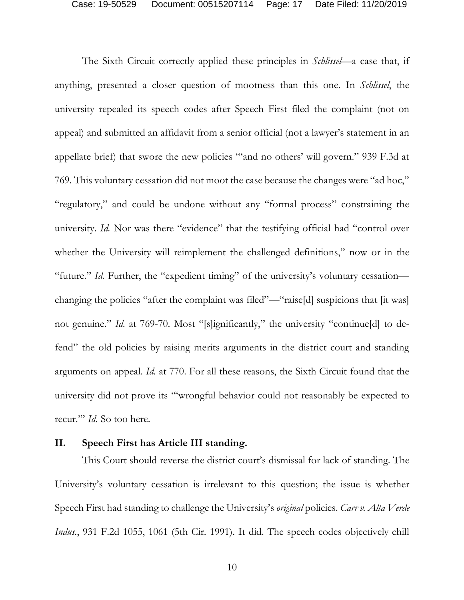The Sixth Circuit correctly applied these principles in *Schlissel*—a case that, if anything, presented a closer question of mootness than this one. In *Schlissel*, the university repealed its speech codes after Speech First filed the complaint (not on appeal) and submitted an affidavit from a senior official (not a lawyer's statement in an appellate brief) that swore the new policies "'and no others' will govern." 939 F.3d at 769. This voluntary cessation did not moot the case because the changes were "ad hoc," "regulatory," and could be undone without any "formal process" constraining the university. *Id.* Nor was there "evidence" that the testifying official had "control over whether the University will reimplement the challenged definitions," now or in the "future." *Id.* Further, the "expedient timing" of the university's voluntary cessation changing the policies "after the complaint was filed"—"raise[d] suspicions that [it was] not genuine." *Id.* at 769-70. Most "[s]ignificantly," the university "continue[d] to defend" the old policies by raising merits arguments in the district court and standing arguments on appeal. *Id.* at 770. For all these reasons, the Sixth Circuit found that the university did not prove its "'wrongful behavior could not reasonably be expected to recur.'" *Id.* So too here.

#### **II. Speech First has Article III standing.**

This Court should reverse the district court's dismissal for lack of standing. The University's voluntary cessation is irrelevant to this question; the issue is whether Speech First had standing to challenge the University's *original* policies. *Carr v. Alta Verde Indus.*, 931 F.2d 1055, 1061 (5th Cir. 1991). It did. The speech codes objectively chill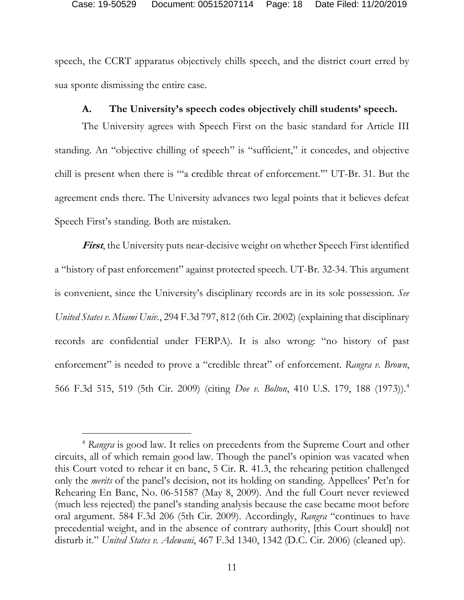speech, the CCRT apparatus objectively chills speech, and the district court erred by sua sponte dismissing the entire case.

### **A. The University's speech codes objectively chill students' speech.**

The University agrees with Speech First on the basic standard for Article III standing. An "objective chilling of speech" is "sufficient," it concedes, and objective chill is present when there is "'a credible threat of enforcement.'" UT-Br. 31. But the agreement ends there. The University advances two legal points that it believes defeat Speech First's standing. Both are mistaken.

**First**, the University puts near-decisive weight on whether Speech First identified a "history of past enforcement" against protected speech. UT-Br. 32-34. This argument is convenient, since the University's disciplinary records are in its sole possession. *See United States v. Miami Univ.*, 294 F.3d 797, 812 (6th Cir. 2002) (explaining that disciplinary records are confidential under FERPA). It is also wrong: "no history of past enforcement" is needed to prove a "credible threat" of enforcement. *Rangra v. Brown*, 566 F.3d 515, 519 (5th Cir. 2009) (citing *Doe v. Bolton*, 410 U.S. 179, 188 (1973)).4

<sup>4</sup> *Rangra* is good law. It relies on precedents from the Supreme Court and other circuits, all of which remain good law. Though the panel's opinion was vacated when this Court voted to rehear it en banc, 5 Cir. R. 41.3, the rehearing petition challenged only the *merits* of the panel's decision, not its holding on standing. Appellees' Pet'n for Rehearing En Banc, No. 06-51587 (May 8, 2009). And the full Court never reviewed (much less rejected) the panel's standing analysis because the case became moot before oral argument. 584 F.3d 206 (5th Cir. 2009). Accordingly, *Rangra* "continues to have precedential weight, and in the absence of contrary authority, [this Court should] not disturb it." *United States v. Adewani*, 467 F.3d 1340, 1342 (D.C. Cir. 2006) (cleaned up).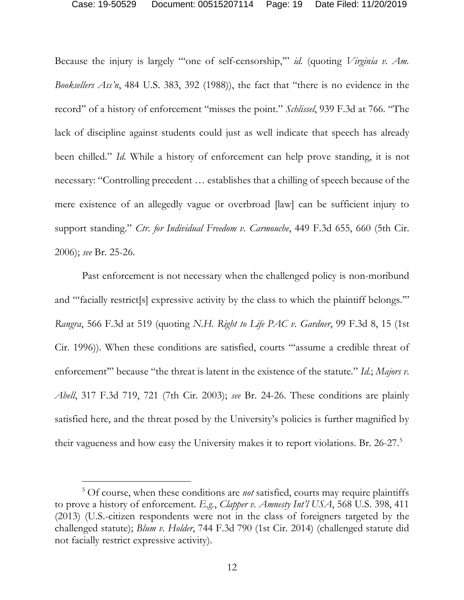Because the injury is largely "'one of self-censorship,'" *id.* (quoting *Virginia v. Am. Booksellers Ass'n*, 484 U.S. 383, 392 (1988)), the fact that "there is no evidence in the record" of a history of enforcement "misses the point." *Schlissel*, 939 F.3d at 766. "The lack of discipline against students could just as well indicate that speech has already been chilled." *Id.* While a history of enforcement can help prove standing, it is not necessary: "Controlling precedent … establishes that a chilling of speech because of the mere existence of an allegedly vague or overbroad [law] can be sufficient injury to support standing." *Ctr. for Individual Freedom v. Carmouche*, 449 F.3d 655, 660 (5th Cir. 2006); *see* Br. 25-26.

Past enforcement is not necessary when the challenged policy is non-moribund and "facially restrict<sup>[s]</sup> expressive activity by the class to which the plaintiff belongs." *Rangra*, 566 F.3d at 519 (quoting *N.H. Right to Life PAC v. Gardner*, 99 F.3d 8, 15 (1st Cir. 1996)). When these conditions are satisfied, courts "'assume a credible threat of enforcement" because "the threat is latent in the existence of the statute." *Id.*; *Majors v. Abell*, 317 F.3d 719, 721 (7th Cir. 2003); *see* Br. 24-26. These conditions are plainly satisfied here, and the threat posed by the University's policies is further magnified by their vagueness and how easy the University makes it to report violations. Br. 26-27.5

<sup>5</sup> Of course, when these conditions are *not* satisfied, courts may require plaintiffs to prove a history of enforcement. *E.g.*, *Clapper v. Amnesty Int'l USA*, 568 U.S. 398, 411 (2013) (U.S.-citizen respondents were not in the class of foreigners targeted by the challenged statute); *Blum v. Holder*, 744 F.3d 790 (1st Cir. 2014) (challenged statute did not facially restrict expressive activity).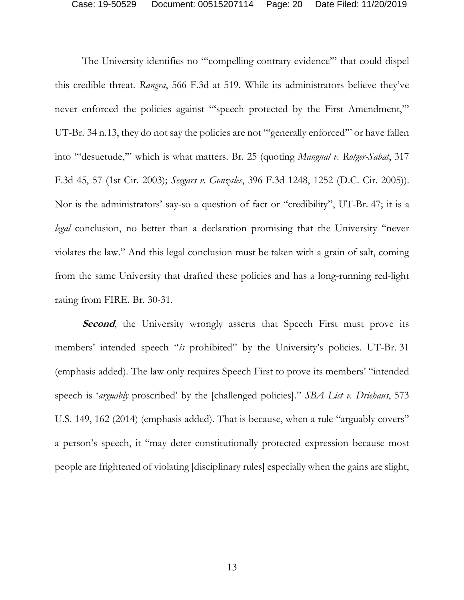The University identifies no "'compelling contrary evidence'" that could dispel this credible threat. *Rangra*, 566 F.3d at 519. While its administrators believe they've never enforced the policies against "speech protected by the First Amendment," UT-Br. 34 n.13, they do not say the policies are not "'generally enforced'" or have fallen into "'desuetude,'" which is what matters. Br. 25 (quoting *Mangual v. Rotger-Sabat*, 317 F.3d 45, 57 (1st Cir. 2003); *Seegars v. Gonzales*, 396 F.3d 1248, 1252 (D.C. Cir. 2005)). Nor is the administrators' say-so a question of fact or "credibility", UT-Br. 47; it is a *legal* conclusion, no better than a declaration promising that the University "never violates the law." And this legal conclusion must be taken with a grain of salt, coming from the same University that drafted these policies and has a long-running red-light rating from FIRE. Br. 30-31.

**Second**, the University wrongly asserts that Speech First must prove its members' intended speech "*is* prohibited" by the University's policies. UT-Br. 31 (emphasis added). The law only requires Speech First to prove its members' "intended speech is '*arguably* proscribed' by the [challenged policies]." *SBA List v. Driehaus*, 573 U.S. 149, 162 (2014) (emphasis added). That is because, when a rule "arguably covers" a person's speech, it "may deter constitutionally protected expression because most people are frightened of violating [disciplinary rules] especially when the gains are slight,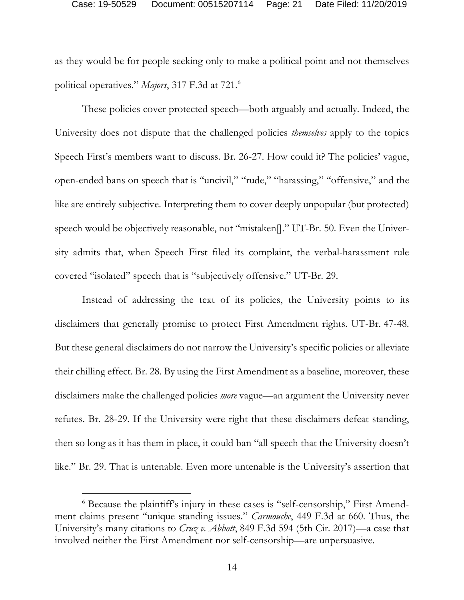as they would be for people seeking only to make a political point and not themselves political operatives." *Majors*, 317 F.3d at 721. 6

These policies cover protected speech—both arguably and actually. Indeed, the University does not dispute that the challenged policies *themselves* apply to the topics Speech First's members want to discuss. Br. 26-27. How could it? The policies' vague, open-ended bans on speech that is "uncivil," "rude," "harassing," "offensive," and the like are entirely subjective. Interpreting them to cover deeply unpopular (but protected) speech would be objectively reasonable, not "mistaken[]." UT-Br. 50. Even the University admits that, when Speech First filed its complaint, the verbal-harassment rule covered "isolated" speech that is "subjectively offensive." UT-Br. 29.

Instead of addressing the text of its policies, the University points to its disclaimers that generally promise to protect First Amendment rights. UT-Br. 47-48. But these general disclaimers do not narrow the University's specific policies or alleviate their chilling effect. Br. 28. By using the First Amendment as a baseline, moreover, these disclaimers make the challenged policies *more* vague—an argument the University never refutes. Br. 28-29. If the University were right that these disclaimers defeat standing, then so long as it has them in place, it could ban "all speech that the University doesn't like." Br. 29. That is untenable. Even more untenable is the University's assertion that

<sup>&</sup>lt;sup>6</sup> Because the plaintiff's injury in these cases is "self-censorship," First Amendment claims present "unique standing issues." *Carmouche*, 449 F.3d at 660. Thus, the University's many citations to *Cruz v. Abbott*, 849 F.3d 594 (5th Cir. 2017)—a case that involved neither the First Amendment nor self-censorship—are unpersuasive.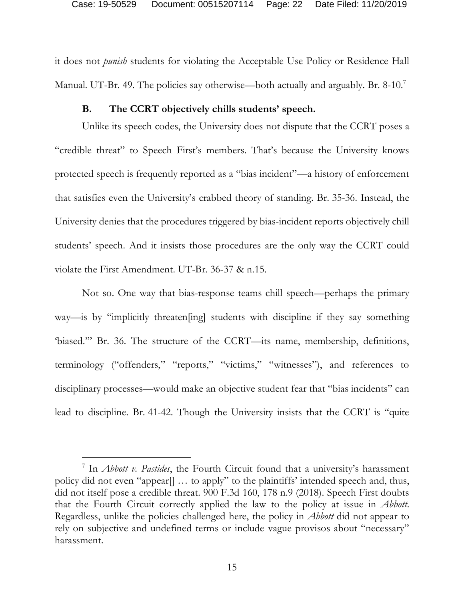it does not *punish* students for violating the Acceptable Use Policy or Residence Hall Manual. UT-Br. 49. The policies say otherwise—both actually and arguably. Br. 8-10.<sup>7</sup>

### **B. The CCRT objectively chills students' speech.**

Unlike its speech codes, the University does not dispute that the CCRT poses a "credible threat" to Speech First's members. That's because the University knows protected speech is frequently reported as a "bias incident"—a history of enforcement that satisfies even the University's crabbed theory of standing. Br. 35-36. Instead, the University denies that the procedures triggered by bias-incident reports objectively chill students' speech. And it insists those procedures are the only way the CCRT could violate the First Amendment. UT-Br. 36-37 & n.15.

Not so. One way that bias-response teams chill speech—perhaps the primary way—is by "implicitly threaten[ing] students with discipline if they say something 'biased.'" Br. 36. The structure of the CCRT—its name, membership, definitions, terminology ("offenders," "reports," "victims," "witnesses"), and references to disciplinary processes—would make an objective student fear that "bias incidents" can lead to discipline. Br. 41-42. Though the University insists that the CCRT is "quite

<sup>7</sup> In *Abbott v. Pastides*, the Fourth Circuit found that a university's harassment policy did not even "appear[] … to apply" to the plaintiffs' intended speech and, thus, did not itself pose a credible threat. 900 F.3d 160, 178 n.9 (2018). Speech First doubts that the Fourth Circuit correctly applied the law to the policy at issue in *Abbott*. Regardless, unlike the policies challenged here, the policy in *Abbott* did not appear to rely on subjective and undefined terms or include vague provisos about "necessary" harassment.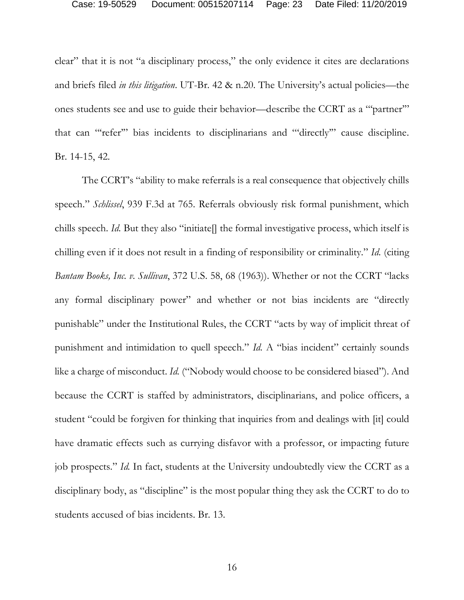clear" that it is not "a disciplinary process," the only evidence it cites are declarations and briefs filed *in this litigation*. UT-Br. 42 & n.20. The University's actual policies—the ones students see and use to guide their behavior—describe the CCRT as a "'partner'" that can "'refer'" bias incidents to disciplinarians and "'directly'" cause discipline. Br. 14-15, 42.

The CCRT's "ability to make referrals is a real consequence that objectively chills speech." *Schlissel*, 939 F.3d at 765. Referrals obviously risk formal punishment, which chills speech. *Id*. But they also "initiate<sup>[]</sup> the formal investigative process, which itself is chilling even if it does not result in a finding of responsibility or criminality." *Id.* (citing *Bantam Books, Inc. v. Sullivan*, 372 U.S. 58, 68 (1963)). Whether or not the CCRT "lacks any formal disciplinary power" and whether or not bias incidents are "directly punishable" under the Institutional Rules, the CCRT "acts by way of implicit threat of punishment and intimidation to quell speech." *Id.* A "bias incident" certainly sounds like a charge of misconduct. *Id.* ("Nobody would choose to be considered biased"). And because the CCRT is staffed by administrators, disciplinarians, and police officers, a student "could be forgiven for thinking that inquiries from and dealings with [it] could have dramatic effects such as currying disfavor with a professor, or impacting future job prospects." *Id.* In fact, students at the University undoubtedly view the CCRT as a disciplinary body, as "discipline" is the most popular thing they ask the CCRT to do to students accused of bias incidents. Br. 13.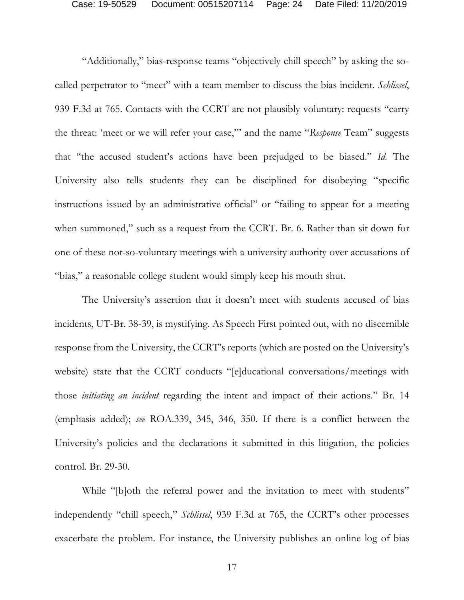"Additionally," bias-response teams "objectively chill speech" by asking the socalled perpetrator to "meet" with a team member to discuss the bias incident. *Schlissel*, 939 F.3d at 765. Contacts with the CCRT are not plausibly voluntary: requests "carry the threat: 'meet or we will refer your case,'" and the name "*Response* Team" suggests that "the accused student's actions have been prejudged to be biased." *Id.* The University also tells students they can be disciplined for disobeying "specific instructions issued by an administrative official" or "failing to appear for a meeting when summoned," such as a request from the CCRT. Br. 6. Rather than sit down for one of these not-so-voluntary meetings with a university authority over accusations of "bias," a reasonable college student would simply keep his mouth shut.

The University's assertion that it doesn't meet with students accused of bias incidents, UT-Br. 38-39, is mystifying. As Speech First pointed out, with no discernible response from the University, the CCRT's reports (which are posted on the University's website) state that the CCRT conducts "[e]ducational conversations/meetings with those *initiating an incident* regarding the intent and impact of their actions." Br. 14 (emphasis added); *see* ROA.339, 345, 346, 350. If there is a conflict between the University's policies and the declarations it submitted in this litigation, the policies control. Br. 29-30.

While "[b]oth the referral power and the invitation to meet with students" independently "chill speech," *Schlissel*, 939 F.3d at 765, the CCRT's other processes exacerbate the problem. For instance, the University publishes an online log of bias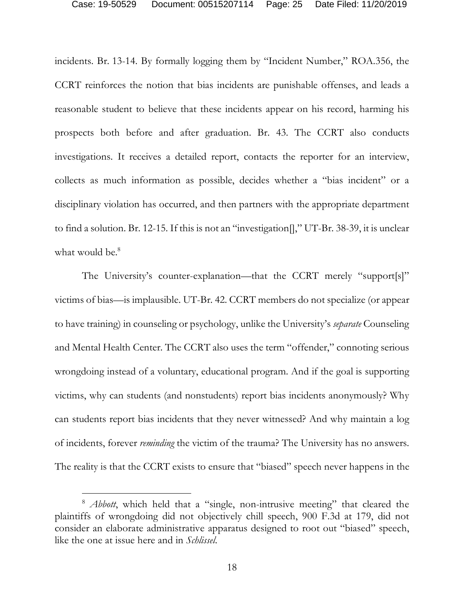incidents. Br. 13-14. By formally logging them by "Incident Number," ROA.356, the CCRT reinforces the notion that bias incidents are punishable offenses, and leads a reasonable student to believe that these incidents appear on his record, harming his prospects both before and after graduation. Br. 43. The CCRT also conducts investigations. It receives a detailed report, contacts the reporter for an interview, collects as much information as possible, decides whether a "bias incident" or a disciplinary violation has occurred, and then partners with the appropriate department to find a solution. Br. 12-15. If this is not an "investigation[]," UT-Br. 38-39, it is unclear what would be.<sup>8</sup>

The University's counter-explanation—that the CCRT merely "support[s]" victims of bias—is implausible. UT-Br. 42. CCRT members do not specialize (or appear to have training) in counseling or psychology, unlike the University's *separate* Counseling and Mental Health Center. The CCRT also uses the term "offender," connoting serious wrongdoing instead of a voluntary, educational program. And if the goal is supporting victims, why can students (and nonstudents) report bias incidents anonymously? Why can students report bias incidents that they never witnessed? And why maintain a log of incidents, forever *reminding* the victim of the trauma? The University has no answers. The reality is that the CCRT exists to ensure that "biased" speech never happens in the

<sup>&</sup>lt;sup>8</sup> *Abbott*, which held that a "single, non-intrusive meeting" that cleared the plaintiffs of wrongdoing did not objectively chill speech, 900 F.3d at 179, did not consider an elaborate administrative apparatus designed to root out "biased" speech, like the one at issue here and in *Schlissel*.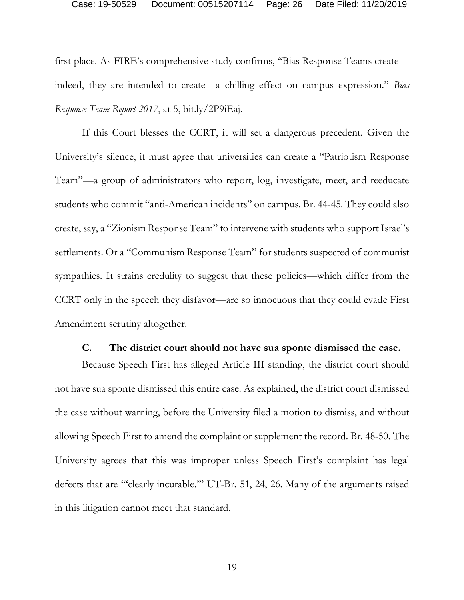#### Case: 19-50529 Document: 00515207114 Page: 26 Date Filed: 11/20/2019

first place. As FIRE's comprehensive study confirms, "Bias Response Teams create indeed, they are intended to create—a chilling effect on campus expression." *Bias Response Team Report 2017*, at 5, bit.ly/2P9iEaj.

If this Court blesses the CCRT, it will set a dangerous precedent. Given the University's silence, it must agree that universities can create a "Patriotism Response Team"—a group of administrators who report, log, investigate, meet, and reeducate students who commit "anti-American incidents" on campus. Br. 44-45. They could also create, say, a "Zionism Response Team" to intervene with students who support Israel's settlements. Or a "Communism Response Team" for students suspected of communist sympathies. It strains credulity to suggest that these policies—which differ from the CCRT only in the speech they disfavor—are so innocuous that they could evade First Amendment scrutiny altogether.

#### **C. The district court should not have sua sponte dismissed the case.**

Because Speech First has alleged Article III standing, the district court should not have sua sponte dismissed this entire case. As explained, the district court dismissed the case without warning, before the University filed a motion to dismiss, and without allowing Speech First to amend the complaint or supplement the record. Br. 48-50. The University agrees that this was improper unless Speech First's complaint has legal defects that are "'clearly incurable.'" UT-Br. 51, 24, 26. Many of the arguments raised in this litigation cannot meet that standard.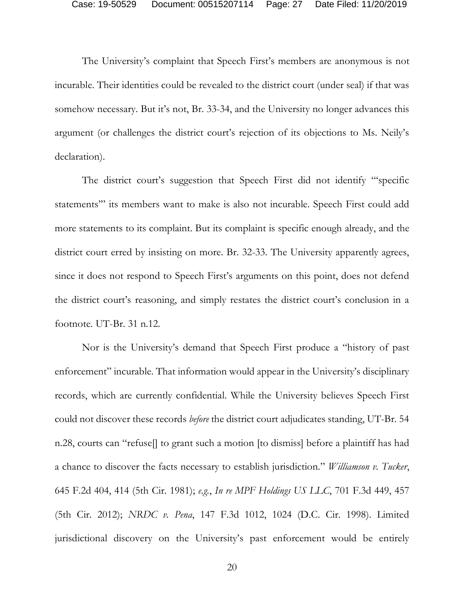The University's complaint that Speech First's members are anonymous is not incurable. Their identities could be revealed to the district court (under seal) if that was somehow necessary. But it's not, Br. 33-34, and the University no longer advances this argument (or challenges the district court's rejection of its objections to Ms. Neily's declaration).

The district court's suggestion that Speech First did not identify "'specific statements'" its members want to make is also not incurable. Speech First could add more statements to its complaint. But its complaint is specific enough already, and the district court erred by insisting on more. Br. 32-33. The University apparently agrees, since it does not respond to Speech First's arguments on this point, does not defend the district court's reasoning, and simply restates the district court's conclusion in a footnote. UT-Br. 31 n.12.

Nor is the University's demand that Speech First produce a "history of past enforcement" incurable. That information would appear in the University's disciplinary records, which are currently confidential. While the University believes Speech First could not discover these records *before* the district court adjudicates standing, UT-Br. 54 n.28, courts can "refuse[] to grant such a motion [to dismiss] before a plaintiff has had a chance to discover the facts necessary to establish jurisdiction." *Williamson v. Tucker*, 645 F.2d 404, 414 (5th Cir. 1981); *e.g.*, *In re MPF Holdings US LLC*, 701 F.3d 449, 457 (5th Cir. 2012); *NRDC v. Pena*, 147 F.3d 1012, 1024 (D.C. Cir. 1998). Limited jurisdictional discovery on the University's past enforcement would be entirely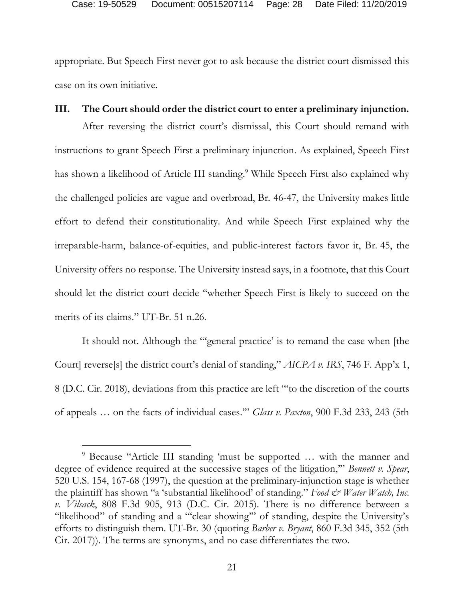appropriate. But Speech First never got to ask because the district court dismissed this case on its own initiative.

### **III. The Court should order the district court to enter a preliminary injunction.**

After reversing the district court's dismissal, this Court should remand with instructions to grant Speech First a preliminary injunction. As explained, Speech First has shown a likelihood of Article III standing.<sup>9</sup> While Speech First also explained why the challenged policies are vague and overbroad, Br. 46-47, the University makes little effort to defend their constitutionality. And while Speech First explained why the irreparable-harm, balance-of-equities, and public-interest factors favor it, Br. 45, the University offers no response. The University instead says, in a footnote, that this Court should let the district court decide "whether Speech First is likely to succeed on the merits of its claims." UT-Br. 51 n.26.

It should not. Although the "'general practice' is to remand the case when [the Court] reverse[s] the district court's denial of standing," *AICPA v. IRS*, 746 F. App'x 1, 8 (D.C. Cir. 2018), deviations from this practice are left "'to the discretion of the courts of appeals … on the facts of individual cases.'" *Glass v. Paxton*, 900 F.3d 233, 243 (5th

<sup>9</sup> Because "Article III standing 'must be supported … with the manner and degree of evidence required at the successive stages of the litigation,'" *Bennett v. Spear*, 520 U.S. 154, 167-68 (1997), the question at the preliminary-injunction stage is whether the plaintiff has shown "a 'substantial likelihood' of standing." *Food & Water Watch*, Inc. *v. Vilsack*, 808 F.3d 905, 913 (D.C. Cir. 2015). There is no difference between a "likelihood" of standing and a "'clear showing'" of standing, despite the University's efforts to distinguish them. UT-Br. 30 (quoting *Barber v. Bryant*, 860 F.3d 345, 352 (5th Cir. 2017)). The terms are synonyms, and no case differentiates the two.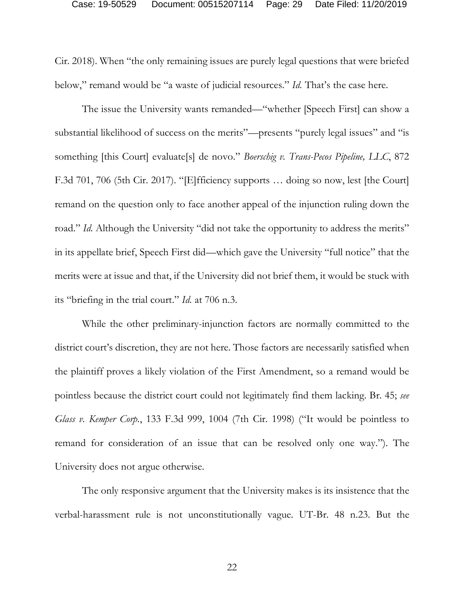Cir. 2018). When "the only remaining issues are purely legal questions that were briefed below," remand would be "a waste of judicial resources." *Id.* That's the case here.

The issue the University wants remanded—"whether [Speech First] can show a substantial likelihood of success on the merits"—presents "purely legal issues" and "is something [this Court] evaluate[s] de novo." *Boerschig v. Trans-Pecos Pipeline, LLC*, 872 F.3d 701, 706 (5th Cir. 2017). "[E]fficiency supports … doing so now, lest [the Court] remand on the question only to face another appeal of the injunction ruling down the road." *Id.* Although the University "did not take the opportunity to address the merits" in its appellate brief, Speech First did—which gave the University "full notice" that the merits were at issue and that, if the University did not brief them, it would be stuck with its "briefing in the trial court." *Id.* at 706 n.3.

While the other preliminary-injunction factors are normally committed to the district court's discretion, they are not here. Those factors are necessarily satisfied when the plaintiff proves a likely violation of the First Amendment, so a remand would be pointless because the district court could not legitimately find them lacking. Br. 45; *see Glass v. Kemper Corp.*, 133 F.3d 999, 1004 (7th Cir. 1998) ("It would be pointless to remand for consideration of an issue that can be resolved only one way."). The University does not argue otherwise.

The only responsive argument that the University makes is its insistence that the verbal-harassment rule is not unconstitutionally vague. UT-Br. 48 n.23. But the

22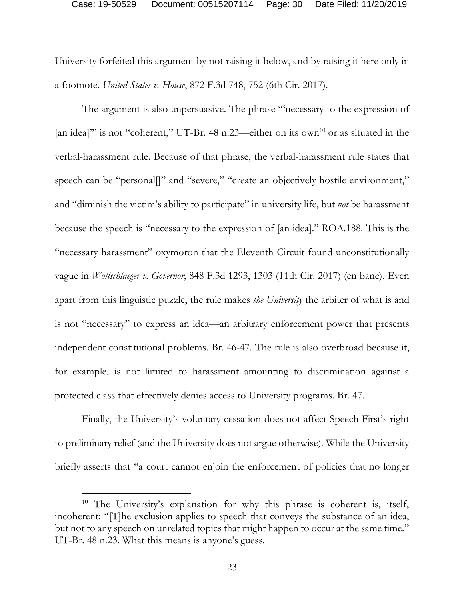#### Case: 19-50529 Document: 00515207114 Page: 30 Date Filed: 11/20/2019

University forfeited this argument by not raising it below, and by raising it here only in a footnote. *United States v. House*, 872 F.3d 748, 752 (6th Cir. 2017).

The argument is also unpersuasive. The phrase "'necessary to the expression of [an idea]" is not "coherent," UT-Br. 48 n.23—either on its own<sup>10</sup> or as situated in the verbal-harassment rule. Because of that phrase, the verbal-harassment rule states that speech can be "personal[]" and "severe," "create an objectively hostile environment," and "diminish the victim's ability to participate" in university life, but *not* be harassment because the speech is "necessary to the expression of [an idea]." ROA.188. This is the "necessary harassment" oxymoron that the Eleventh Circuit found unconstitutionally vague in *Wollschlaeger v. Governor*, 848 F.3d 1293, 1303 (11th Cir. 2017) (en banc). Even apart from this linguistic puzzle, the rule makes *the University* the arbiter of what is and is not "necessary" to express an idea—an arbitrary enforcement power that presents independent constitutional problems. Br. 46-47. The rule is also overbroad because it, for example, is not limited to harassment amounting to discrimination against a protected class that effectively denies access to University programs. Br. 47.

Finally, the University's voluntary cessation does not affect Speech First's right to preliminary relief (and the University does not argue otherwise). While the University briefly asserts that "a court cannot enjoin the enforcement of policies that no longer

<sup>&</sup>lt;sup>10</sup> The University's explanation for why this phrase is coherent is, itself, incoherent: "[T]he exclusion applies to speech that conveys the substance of an idea, but not to any speech on unrelated topics that might happen to occur at the same time." UT-Br. 48 n.23. What this means is anyone's guess.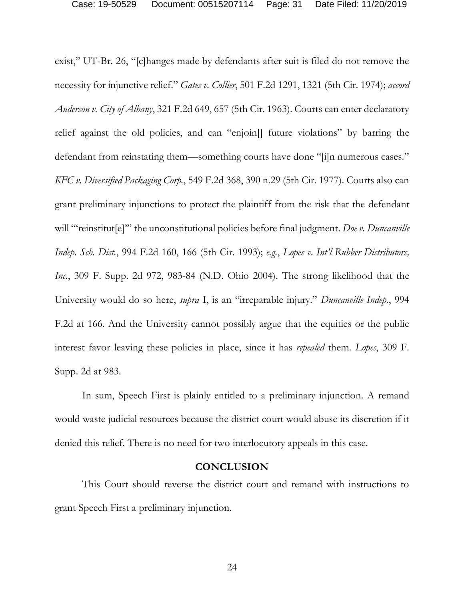exist," UT-Br. 26, "[c]hanges made by defendants after suit is filed do not remove the necessity for injunctive relief." *Gates v. Collier*, 501 F.2d 1291, 1321 (5th Cir. 1974); *accord Anderson v. City of Albany*, 321 F.2d 649, 657 (5th Cir. 1963). Courts can enter declaratory relief against the old policies, and can "enjoin[] future violations" by barring the defendant from reinstating them—something courts have done "[i]n numerous cases." *KFC v. Diversified Packaging Corp.*, 549 F.2d 368, 390 n.29 (5th Cir. 1977). Courts also can grant preliminary injunctions to protect the plaintiff from the risk that the defendant will ""reinstitut<sup>[e]"</sup> the unconstitutional policies before final judgment. *Doe v. Duncanville Indep. Sch. Dist.*, 994 F.2d 160, 166 (5th Cir. 1993); *e.g.*, *Lopes v. Int'l Rubber Distributors, Inc.*, 309 F. Supp. 2d 972, 983-84 (N.D. Ohio 2004). The strong likelihood that the University would do so here, *supra* I, is an "irreparable injury." *Duncanville Indep.*, 994 F.2d at 166. And the University cannot possibly argue that the equities or the public interest favor leaving these policies in place, since it has *repealed* them. *Lopes*, 309 F. Supp. 2d at 983.

In sum, Speech First is plainly entitled to a preliminary injunction. A remand would waste judicial resources because the district court would abuse its discretion if it denied this relief. There is no need for two interlocutory appeals in this case.

#### **CONCLUSION**

This Court should reverse the district court and remand with instructions to grant Speech First a preliminary injunction.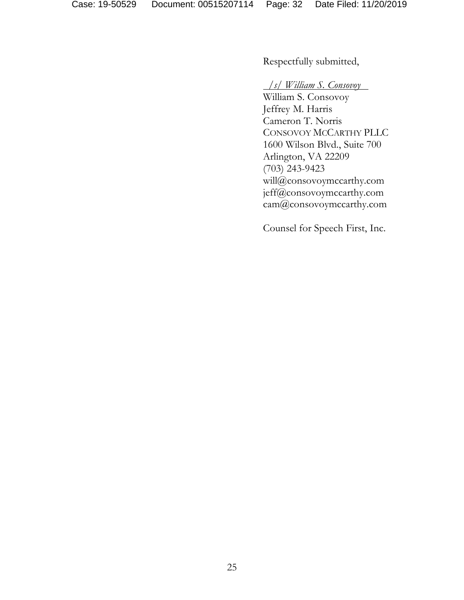Respectfully submitted,

## */s/ William S. Consovoy*

William S. Consovoy Jeffrey M. Harris Cameron T. Norris CONSOVOY MCCARTHY PLLC 1600 Wilson Blvd., Suite 700 Arlington, VA 22209 (703) 243-9423 will@consovoymccarthy.com jeff@consovoymccarthy.com cam@consovoymccarthy.com

Counsel for Speech First, Inc.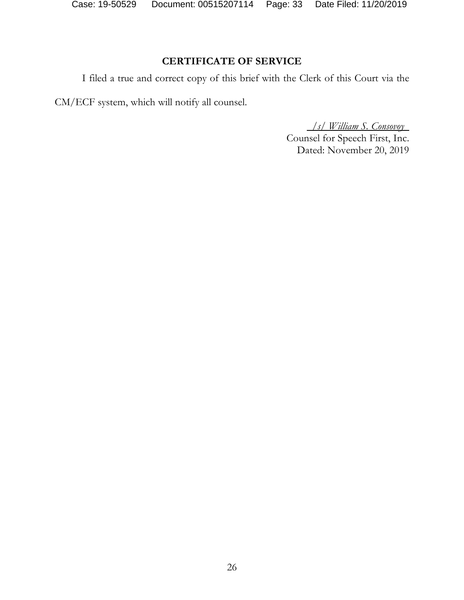Case: 19-50529 Document: 00515207114 Page: 33 Date Filed: 11/20/2019

# **CERTIFICATE OF SERVICE**

I filed a true and correct copy of this brief with the Clerk of this Court via the

CM/ECF system, which will notify all counsel.

*/s/ William S. Consovoy* Counsel for Speech First, Inc. Dated: November 20, 2019